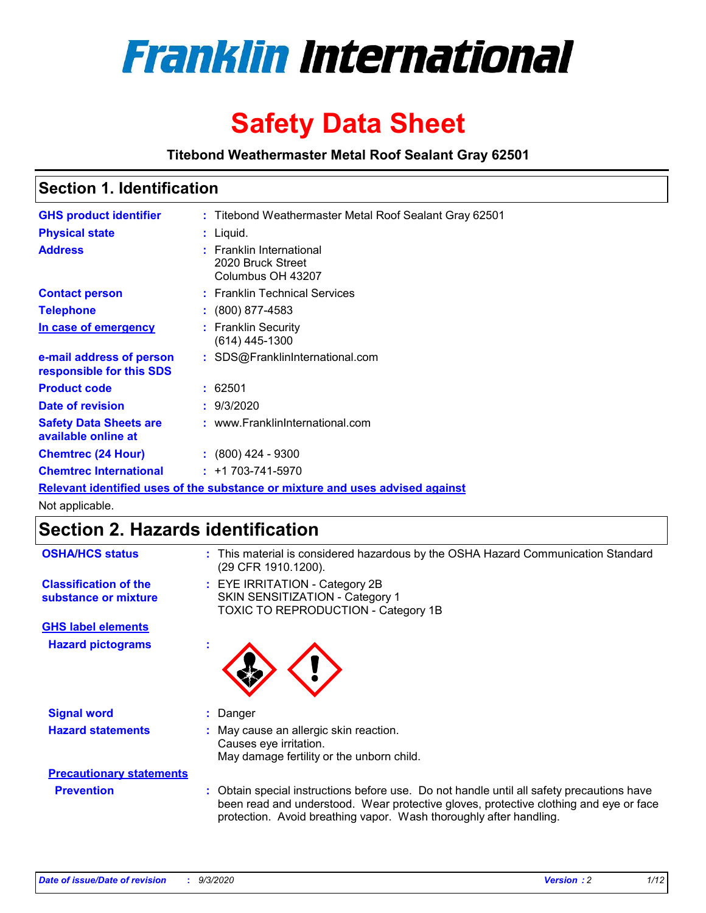

# **Safety Data Sheet**

**Titebond Weathermaster Metal Roof Sealant Gray 62501**

### **Section 1. Identification**

| <b>GHS product identifier</b>                                                 |  | : Titebond Weathermaster Metal Roof Sealant Gray 62501             |  |  |
|-------------------------------------------------------------------------------|--|--------------------------------------------------------------------|--|--|
| <b>Physical state</b>                                                         |  | : Liquid.                                                          |  |  |
| <b>Address</b>                                                                |  | : Franklin International<br>2020 Bruck Street<br>Columbus OH 43207 |  |  |
| <b>Contact person</b>                                                         |  | : Franklin Technical Services                                      |  |  |
| <b>Telephone</b>                                                              |  | $: (800) 877-4583$                                                 |  |  |
| In case of emergency                                                          |  | : Franklin Security<br>(614) 445-1300                              |  |  |
| e-mail address of person<br>responsible for this SDS                          |  | : SDS@FranklinInternational.com                                    |  |  |
| <b>Product code</b>                                                           |  | : 62501                                                            |  |  |
| Date of revision                                                              |  | : 9/3/2020                                                         |  |  |
| <b>Safety Data Sheets are</b><br>available online at                          |  | : www.FranklinInternational.com                                    |  |  |
| <b>Chemtrec (24 Hour)</b>                                                     |  | $: (800)$ 424 - 9300                                               |  |  |
| <b>Chemtrec International</b>                                                 |  | $: +1703 - 741 - 5970$                                             |  |  |
| Relevant identified uses of the substance or mixture and uses advised against |  |                                                                    |  |  |

Not applicable.

## **Section 2. Hazards identification**

| <b>OSHA/HCS status</b>                               |    | : This material is considered hazardous by the OSHA Hazard Communication Standard<br>(29 CFR 1910.1200).                                                                                                                                                 |
|------------------------------------------------------|----|----------------------------------------------------------------------------------------------------------------------------------------------------------------------------------------------------------------------------------------------------------|
| <b>Classification of the</b><br>substance or mixture |    | : EYE IRRITATION - Category 2B<br>SKIN SENSITIZATION - Category 1<br>TOXIC TO REPRODUCTION - Category 1B                                                                                                                                                 |
| <b>GHS label elements</b>                            |    |                                                                                                                                                                                                                                                          |
| <b>Hazard pictograms</b>                             | ×. |                                                                                                                                                                                                                                                          |
| <b>Signal word</b>                                   | ÷. | Danger                                                                                                                                                                                                                                                   |
| <b>Hazard statements</b>                             |    | May cause an allergic skin reaction.<br>Causes eye irritation.<br>May damage fertility or the unborn child.                                                                                                                                              |
| <b>Precautionary statements</b>                      |    |                                                                                                                                                                                                                                                          |
| <b>Prevention</b>                                    |    | : Obtain special instructions before use. Do not handle until all safety precautions have<br>been read and understood. Wear protective gloves, protective clothing and eye or face<br>protection. Avoid breathing vapor. Wash thoroughly after handling. |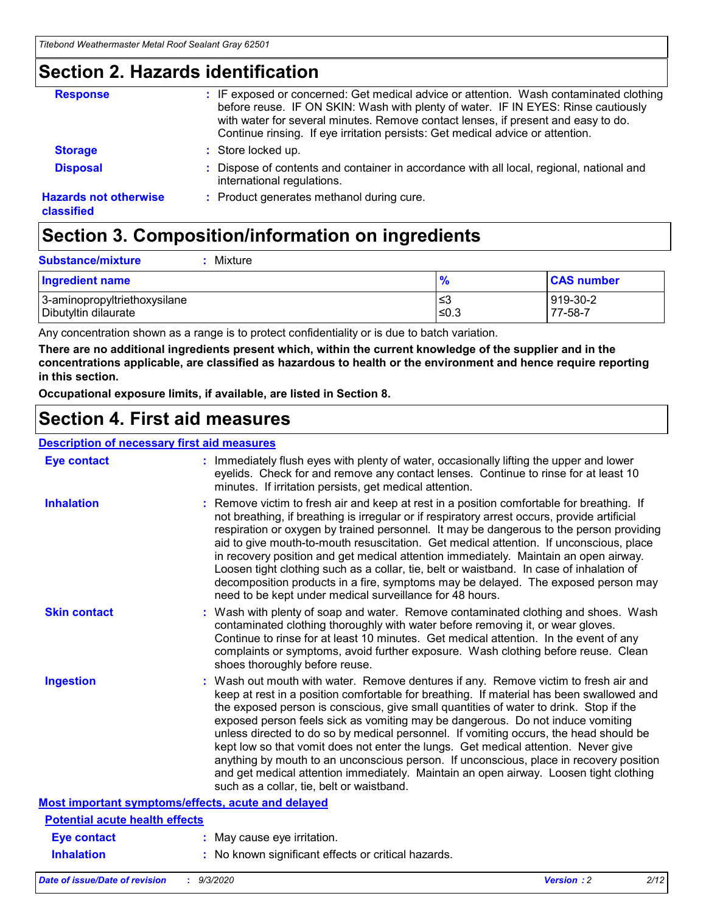### **Section 2. Hazards identification**

| <b>Response</b>                            | : IF exposed or concerned: Get medical advice or attention. Wash contaminated clothing<br>before reuse. IF ON SKIN: Wash with plenty of water. IF IN EYES: Rinse cautiously<br>with water for several minutes. Remove contact lenses, if present and easy to do.<br>Continue rinsing. If eye irritation persists: Get medical advice or attention. |
|--------------------------------------------|----------------------------------------------------------------------------------------------------------------------------------------------------------------------------------------------------------------------------------------------------------------------------------------------------------------------------------------------------|
| <b>Storage</b>                             | : Store locked up.                                                                                                                                                                                                                                                                                                                                 |
| <b>Disposal</b>                            | : Dispose of contents and container in accordance with all local, regional, national and<br>international regulations.                                                                                                                                                                                                                             |
| <b>Hazards not otherwise</b><br>classified | : Product generates methanol during cure.                                                                                                                                                                                                                                                                                                          |

# **Section 3. Composition/information on ingredients**

| <b>Substance/mixture</b> | Mixture |
|--------------------------|---------|
|                          |         |

| <b>Ingredient name</b>       | $\frac{9}{6}$ | <b>CAS number</b> |
|------------------------------|---------------|-------------------|
| 3-aminopropyltriethoxysilane | ≤3            | 919-30-2          |
| Dibutyltin dilaurate         | ∣≤0.3         | 77-58-7           |

Any concentration shown as a range is to protect confidentiality or is due to batch variation.

**There are no additional ingredients present which, within the current knowledge of the supplier and in the concentrations applicable, are classified as hazardous to health or the environment and hence require reporting in this section.**

**Occupational exposure limits, if available, are listed in Section 8.**

### **Section 4. First aid measures**

| <b>Description of necessary first aid measures</b> |                                                                                                                                                                                                                                                                                                                                                                                                                                                                                                                                                                                                                                                                                                                                                                           |
|----------------------------------------------------|---------------------------------------------------------------------------------------------------------------------------------------------------------------------------------------------------------------------------------------------------------------------------------------------------------------------------------------------------------------------------------------------------------------------------------------------------------------------------------------------------------------------------------------------------------------------------------------------------------------------------------------------------------------------------------------------------------------------------------------------------------------------------|
| <b>Eye contact</b>                                 | : Immediately flush eyes with plenty of water, occasionally lifting the upper and lower<br>eyelids. Check for and remove any contact lenses. Continue to rinse for at least 10<br>minutes. If irritation persists, get medical attention.                                                                                                                                                                                                                                                                                                                                                                                                                                                                                                                                 |
| <b>Inhalation</b>                                  | : Remove victim to fresh air and keep at rest in a position comfortable for breathing. If<br>not breathing, if breathing is irregular or if respiratory arrest occurs, provide artificial<br>respiration or oxygen by trained personnel. It may be dangerous to the person providing<br>aid to give mouth-to-mouth resuscitation. Get medical attention. If unconscious, place<br>in recovery position and get medical attention immediately. Maintain an open airway.<br>Loosen tight clothing such as a collar, tie, belt or waistband. In case of inhalation of<br>decomposition products in a fire, symptoms may be delayed. The exposed person may<br>need to be kept under medical surveillance for 48 hours.                                                       |
| <b>Skin contact</b>                                | : Wash with plenty of soap and water. Remove contaminated clothing and shoes. Wash<br>contaminated clothing thoroughly with water before removing it, or wear gloves.<br>Continue to rinse for at least 10 minutes. Get medical attention. In the event of any<br>complaints or symptoms, avoid further exposure. Wash clothing before reuse. Clean<br>shoes thoroughly before reuse.                                                                                                                                                                                                                                                                                                                                                                                     |
| <b>Ingestion</b>                                   | : Wash out mouth with water. Remove dentures if any. Remove victim to fresh air and<br>keep at rest in a position comfortable for breathing. If material has been swallowed and<br>the exposed person is conscious, give small quantities of water to drink. Stop if the<br>exposed person feels sick as vomiting may be dangerous. Do not induce vomiting<br>unless directed to do so by medical personnel. If vomiting occurs, the head should be<br>kept low so that vomit does not enter the lungs. Get medical attention. Never give<br>anything by mouth to an unconscious person. If unconscious, place in recovery position<br>and get medical attention immediately. Maintain an open airway. Loosen tight clothing<br>such as a collar, tie, belt or waistband. |
| Most important symptoms/effects, acute and delayed |                                                                                                                                                                                                                                                                                                                                                                                                                                                                                                                                                                                                                                                                                                                                                                           |
| <b>Potential acute health effects</b>              |                                                                                                                                                                                                                                                                                                                                                                                                                                                                                                                                                                                                                                                                                                                                                                           |
| Eye contact                                        | : May cause eye irritation.                                                                                                                                                                                                                                                                                                                                                                                                                                                                                                                                                                                                                                                                                                                                               |
| <b>Inhalation</b>                                  | : No known significant effects or critical hazards.                                                                                                                                                                                                                                                                                                                                                                                                                                                                                                                                                                                                                                                                                                                       |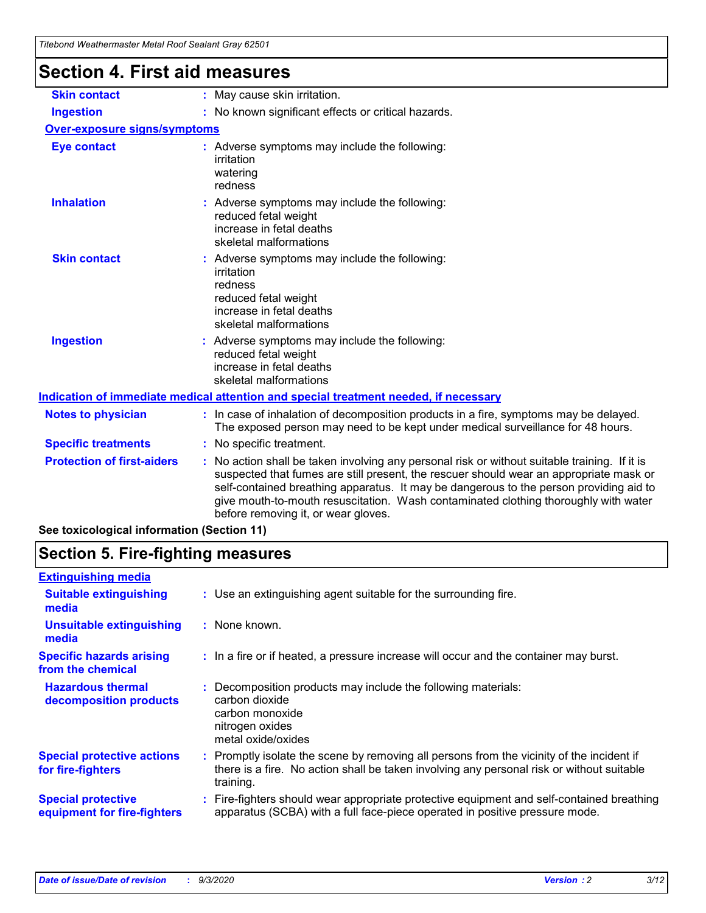| <u>Hiebonu weamenhasier wetari Roof Sealaht Gray 6250 F</u> |                                                                                                                                                                                                                                                                                                                                                                                                                 |
|-------------------------------------------------------------|-----------------------------------------------------------------------------------------------------------------------------------------------------------------------------------------------------------------------------------------------------------------------------------------------------------------------------------------------------------------------------------------------------------------|
| <b>Section 4. First aid measures</b>                        |                                                                                                                                                                                                                                                                                                                                                                                                                 |
| <b>Skin contact</b>                                         | : May cause skin irritation.                                                                                                                                                                                                                                                                                                                                                                                    |
| <b>Ingestion</b>                                            | : No known significant effects or critical hazards.                                                                                                                                                                                                                                                                                                                                                             |
| Over-exposure signs/symptoms                                |                                                                                                                                                                                                                                                                                                                                                                                                                 |
| <b>Eye contact</b>                                          | : Adverse symptoms may include the following:<br>irritation<br>watering<br>redness                                                                                                                                                                                                                                                                                                                              |
| <b>Inhalation</b>                                           | : Adverse symptoms may include the following:<br>reduced fetal weight<br>increase in fetal deaths<br>skeletal malformations                                                                                                                                                                                                                                                                                     |
| <b>Skin contact</b>                                         | : Adverse symptoms may include the following:<br>irritation<br>redness<br>reduced fetal weight<br>increase in fetal deaths<br>skeletal malformations                                                                                                                                                                                                                                                            |
| <b>Ingestion</b>                                            | : Adverse symptoms may include the following:<br>reduced fetal weight<br>increase in fetal deaths<br>skeletal malformations                                                                                                                                                                                                                                                                                     |
|                                                             | Indication of immediate medical attention and special treatment needed, if necessary                                                                                                                                                                                                                                                                                                                            |
| <b>Notes to physician</b>                                   | : In case of inhalation of decomposition products in a fire, symptoms may be delayed.<br>The exposed person may need to be kept under medical surveillance for 48 hours.                                                                                                                                                                                                                                        |
| <b>Specific treatments</b>                                  | : No specific treatment.                                                                                                                                                                                                                                                                                                                                                                                        |
| <b>Protection of first-aiders</b>                           | : No action shall be taken involving any personal risk or without suitable training. If it is<br>suspected that fumes are still present, the rescuer should wear an appropriate mask or<br>self-contained breathing apparatus. It may be dangerous to the person providing aid to<br>give mouth-to-mouth resuscitation. Wash contaminated clothing thoroughly with water<br>before removing it, or wear gloves. |
| See toxicological information (Section 11)                  |                                                                                                                                                                                                                                                                                                                                                                                                                 |

### **Section 5. Fire-fighting measures**

| <b>Extinguishing media</b>                               |                                                                                                                                                                                                     |
|----------------------------------------------------------|-----------------------------------------------------------------------------------------------------------------------------------------------------------------------------------------------------|
| <b>Suitable extinguishing</b><br>media                   | : Use an extinguishing agent suitable for the surrounding fire.                                                                                                                                     |
| <b>Unsuitable extinguishing</b><br>media                 | : None known.                                                                                                                                                                                       |
| <b>Specific hazards arising</b><br>from the chemical     | : In a fire or if heated, a pressure increase will occur and the container may burst.                                                                                                               |
| <b>Hazardous thermal</b><br>decomposition products       | Decomposition products may include the following materials:<br>carbon dioxide<br>carbon monoxide<br>nitrogen oxides<br>metal oxide/oxides                                                           |
| <b>Special protective actions</b><br>for fire-fighters   | : Promptly isolate the scene by removing all persons from the vicinity of the incident if<br>there is a fire. No action shall be taken involving any personal risk or without suitable<br>training. |
| <b>Special protective</b><br>equipment for fire-fighters | Fire-fighters should wear appropriate protective equipment and self-contained breathing<br>apparatus (SCBA) with a full face-piece operated in positive pressure mode.                              |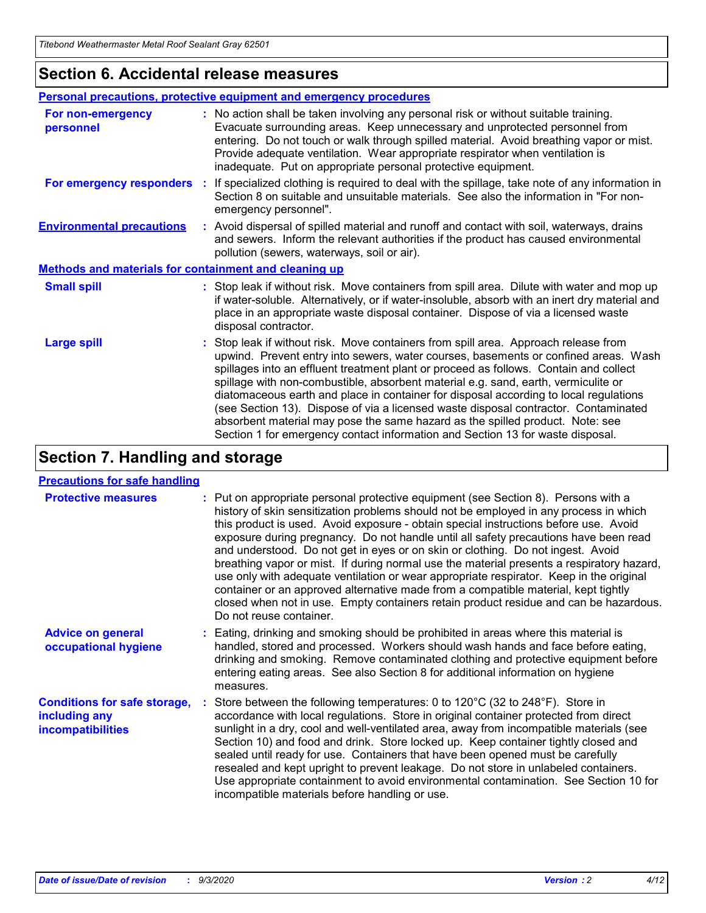### **Section 6. Accidental release measures**

| Personal precautions, protective equipment and emergency procedures |                                                                                                                                                                                                                                                                                                                                                                                                                                                                                                                                                                                                                                                                                                              |  |  |  |
|---------------------------------------------------------------------|--------------------------------------------------------------------------------------------------------------------------------------------------------------------------------------------------------------------------------------------------------------------------------------------------------------------------------------------------------------------------------------------------------------------------------------------------------------------------------------------------------------------------------------------------------------------------------------------------------------------------------------------------------------------------------------------------------------|--|--|--|
| For non-emergency<br>personnel                                      | : No action shall be taken involving any personal risk or without suitable training.<br>Evacuate surrounding areas. Keep unnecessary and unprotected personnel from<br>entering. Do not touch or walk through spilled material. Avoid breathing vapor or mist.<br>Provide adequate ventilation. Wear appropriate respirator when ventilation is<br>inadequate. Put on appropriate personal protective equipment.                                                                                                                                                                                                                                                                                             |  |  |  |
| For emergency responders                                            | : If specialized clothing is required to deal with the spillage, take note of any information in<br>Section 8 on suitable and unsuitable materials. See also the information in "For non-<br>emergency personnel".                                                                                                                                                                                                                                                                                                                                                                                                                                                                                           |  |  |  |
| <b>Environmental precautions</b>                                    | : Avoid dispersal of spilled material and runoff and contact with soil, waterways, drains<br>and sewers. Inform the relevant authorities if the product has caused environmental<br>pollution (sewers, waterways, soil or air).                                                                                                                                                                                                                                                                                                                                                                                                                                                                              |  |  |  |
| <b>Methods and materials for containment and cleaning up</b>        |                                                                                                                                                                                                                                                                                                                                                                                                                                                                                                                                                                                                                                                                                                              |  |  |  |
| <b>Small spill</b>                                                  | : Stop leak if without risk. Move containers from spill area. Dilute with water and mop up<br>if water-soluble. Alternatively, or if water-insoluble, absorb with an inert dry material and<br>place in an appropriate waste disposal container. Dispose of via a licensed waste<br>disposal contractor.                                                                                                                                                                                                                                                                                                                                                                                                     |  |  |  |
| <b>Large spill</b>                                                  | : Stop leak if without risk. Move containers from spill area. Approach release from<br>upwind. Prevent entry into sewers, water courses, basements or confined areas. Wash<br>spillages into an effluent treatment plant or proceed as follows. Contain and collect<br>spillage with non-combustible, absorbent material e.g. sand, earth, vermiculite or<br>diatomaceous earth and place in container for disposal according to local regulations<br>(see Section 13). Dispose of via a licensed waste disposal contractor. Contaminated<br>absorbent material may pose the same hazard as the spilled product. Note: see<br>Section 1 for emergency contact information and Section 13 for waste disposal. |  |  |  |

### **Section 7. Handling and storage**

#### **Precautions for safe handling**

| <b>Protective measures</b>                                                       | : Put on appropriate personal protective equipment (see Section 8). Persons with a<br>history of skin sensitization problems should not be employed in any process in which<br>this product is used. Avoid exposure - obtain special instructions before use. Avoid<br>exposure during pregnancy. Do not handle until all safety precautions have been read<br>and understood. Do not get in eyes or on skin or clothing. Do not ingest. Avoid<br>breathing vapor or mist. If during normal use the material presents a respiratory hazard,<br>use only with adequate ventilation or wear appropriate respirator. Keep in the original<br>container or an approved alternative made from a compatible material, kept tightly<br>closed when not in use. Empty containers retain product residue and can be hazardous.<br>Do not reuse container. |
|----------------------------------------------------------------------------------|--------------------------------------------------------------------------------------------------------------------------------------------------------------------------------------------------------------------------------------------------------------------------------------------------------------------------------------------------------------------------------------------------------------------------------------------------------------------------------------------------------------------------------------------------------------------------------------------------------------------------------------------------------------------------------------------------------------------------------------------------------------------------------------------------------------------------------------------------|
| <b>Advice on general</b><br>occupational hygiene                                 | : Eating, drinking and smoking should be prohibited in areas where this material is<br>handled, stored and processed. Workers should wash hands and face before eating,<br>drinking and smoking. Remove contaminated clothing and protective equipment before<br>entering eating areas. See also Section 8 for additional information on hygiene<br>measures.                                                                                                                                                                                                                                                                                                                                                                                                                                                                                    |
| <b>Conditions for safe storage,</b><br>including any<br><i>incompatibilities</i> | Store between the following temperatures: 0 to $120^{\circ}$ C (32 to $248^{\circ}$ F). Store in<br>accordance with local regulations. Store in original container protected from direct<br>sunlight in a dry, cool and well-ventilated area, away from incompatible materials (see<br>Section 10) and food and drink. Store locked up. Keep container tightly closed and<br>sealed until ready for use. Containers that have been opened must be carefully<br>resealed and kept upright to prevent leakage. Do not store in unlabeled containers.<br>Use appropriate containment to avoid environmental contamination. See Section 10 for<br>incompatible materials before handling or use.                                                                                                                                                     |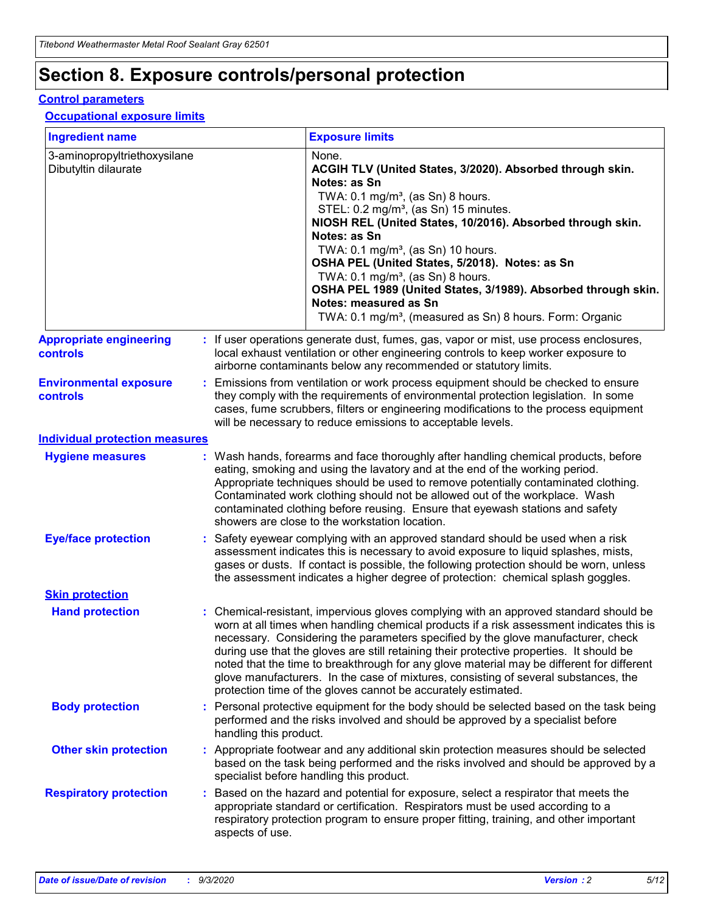# **Section 8. Exposure controls/personal protection**

#### **Control parameters**

#### **Occupational exposure limits**

| <b>Ingredient name</b>                               |    |                        | <b>Exposure limits</b>                                                                                                                                                                                                                                                                                                                                                                                                                                                                                                                                                                                                 |
|------------------------------------------------------|----|------------------------|------------------------------------------------------------------------------------------------------------------------------------------------------------------------------------------------------------------------------------------------------------------------------------------------------------------------------------------------------------------------------------------------------------------------------------------------------------------------------------------------------------------------------------------------------------------------------------------------------------------------|
| 3-aminopropyltriethoxysilane<br>Dibutyltin dilaurate |    |                        | None.<br>ACGIH TLV (United States, 3/2020). Absorbed through skin.<br>Notes: as Sn<br>TWA: $0.1 \text{ mg/m}^3$ , (as Sn) 8 hours.<br>STEL: 0.2 mg/m <sup>3</sup> , (as Sn) 15 minutes.<br>NIOSH REL (United States, 10/2016). Absorbed through skin.<br>Notes: as Sn<br>TWA: 0.1 mg/m <sup>3</sup> , (as Sn) 10 hours.<br>OSHA PEL (United States, 5/2018). Notes: as Sn<br>TWA: 0.1 mg/m <sup>3</sup> , (as Sn) 8 hours.<br>OSHA PEL 1989 (United States, 3/1989). Absorbed through skin.<br>Notes: measured as Sn<br>TWA: 0.1 mg/m <sup>3</sup> , (measured as Sn) 8 hours. Form: Organic                           |
| <b>Appropriate engineering</b><br>controls           |    |                        | : If user operations generate dust, fumes, gas, vapor or mist, use process enclosures,<br>local exhaust ventilation or other engineering controls to keep worker exposure to<br>airborne contaminants below any recommended or statutory limits.                                                                                                                                                                                                                                                                                                                                                                       |
| <b>Environmental exposure</b><br>controls            |    |                        | Emissions from ventilation or work process equipment should be checked to ensure<br>they comply with the requirements of environmental protection legislation. In some<br>cases, fume scrubbers, filters or engineering modifications to the process equipment<br>will be necessary to reduce emissions to acceptable levels.                                                                                                                                                                                                                                                                                          |
| <b>Individual protection measures</b>                |    |                        |                                                                                                                                                                                                                                                                                                                                                                                                                                                                                                                                                                                                                        |
| <b>Hygiene measures</b>                              |    |                        | : Wash hands, forearms and face thoroughly after handling chemical products, before<br>eating, smoking and using the lavatory and at the end of the working period.<br>Appropriate techniques should be used to remove potentially contaminated clothing.<br>Contaminated work clothing should not be allowed out of the workplace. Wash<br>contaminated clothing before reusing. Ensure that eyewash stations and safety<br>showers are close to the workstation location.                                                                                                                                            |
| <b>Eye/face protection</b>                           |    |                        | Safety eyewear complying with an approved standard should be used when a risk<br>assessment indicates this is necessary to avoid exposure to liquid splashes, mists,<br>gases or dusts. If contact is possible, the following protection should be worn, unless<br>the assessment indicates a higher degree of protection: chemical splash goggles.                                                                                                                                                                                                                                                                    |
| <b>Skin protection</b>                               |    |                        |                                                                                                                                                                                                                                                                                                                                                                                                                                                                                                                                                                                                                        |
| <b>Hand protection</b>                               |    |                        | : Chemical-resistant, impervious gloves complying with an approved standard should be<br>worn at all times when handling chemical products if a risk assessment indicates this is<br>necessary. Considering the parameters specified by the glove manufacturer, check<br>during use that the gloves are still retaining their protective properties. It should be<br>noted that the time to breakthrough for any glove material may be different for different<br>glove manufacturers. In the case of mixtures, consisting of several substances, the<br>protection time of the gloves cannot be accurately estimated. |
| <b>Body protection</b>                               |    | handling this product. | Personal protective equipment for the body should be selected based on the task being<br>performed and the risks involved and should be approved by a specialist before                                                                                                                                                                                                                                                                                                                                                                                                                                                |
| <b>Other skin protection</b>                         |    |                        | : Appropriate footwear and any additional skin protection measures should be selected<br>based on the task being performed and the risks involved and should be approved by a<br>specialist before handling this product.                                                                                                                                                                                                                                                                                                                                                                                              |
| <b>Respiratory protection</b>                        | ÷. | aspects of use.        | Based on the hazard and potential for exposure, select a respirator that meets the<br>appropriate standard or certification. Respirators must be used according to a<br>respiratory protection program to ensure proper fitting, training, and other important                                                                                                                                                                                                                                                                                                                                                         |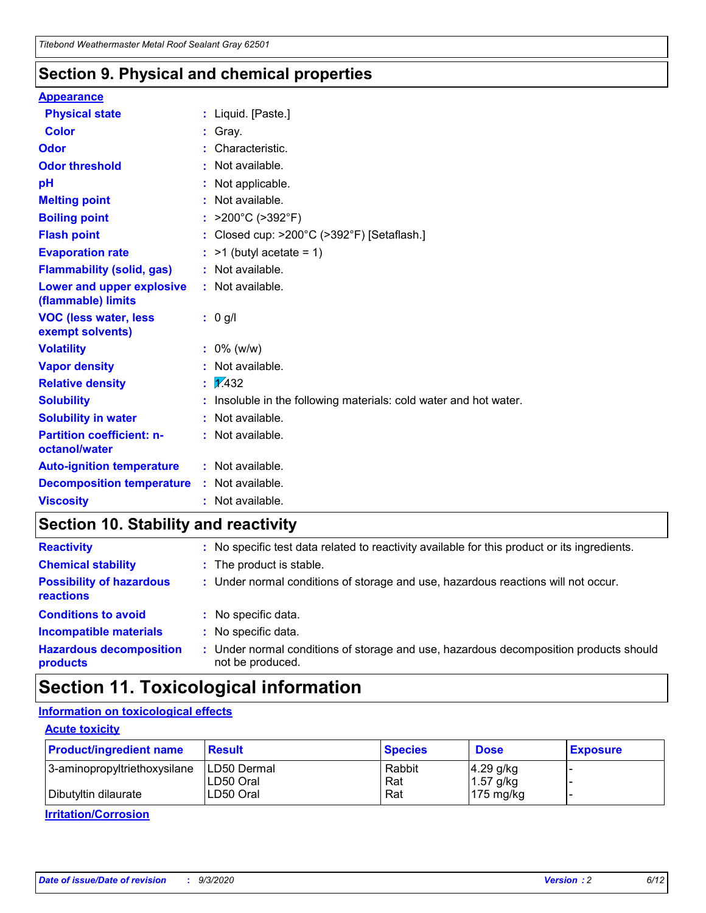### **Section 9. Physical and chemical properties**

#### **Appearance**

| <b>Physical state</b>                             | : Liquid. [Paste.]                                              |
|---------------------------------------------------|-----------------------------------------------------------------|
| <b>Color</b>                                      | Gray.                                                           |
| Odor                                              | Characteristic.                                                 |
| <b>Odor threshold</b>                             | Not available.                                                  |
| pH                                                | Not applicable.                                                 |
| <b>Melting point</b>                              | : Not available.                                                |
| <b>Boiling point</b>                              | : $>200^{\circ}$ C ( $>392^{\circ}$ F)                          |
| <b>Flash point</b>                                | : Closed cup: $>200^{\circ}$ C ( $>392^{\circ}$ F) [Setaflash.] |
| <b>Evaporation rate</b>                           | $:$ >1 (butyl acetate = 1)                                      |
| <b>Flammability (solid, gas)</b>                  | : Not available.                                                |
| Lower and upper explosive<br>(flammable) limits   | : Not available.                                                |
| <b>VOC (less water, less</b><br>exempt solvents)  | : 0 g/l                                                         |
| <b>Volatility</b>                                 | $: 0\%$ (w/w)                                                   |
| <b>Vapor density</b>                              | Not available.                                                  |
| <b>Relative density</b>                           | $\frac{1}{2}$ $\frac{1}{432}$                                   |
| <b>Solubility</b>                                 | Insoluble in the following materials: cold water and hot water. |
| <b>Solubility in water</b>                        | : Not available.                                                |
| <b>Partition coefficient: n-</b><br>octanol/water | : Not available.                                                |
| <b>Auto-ignition temperature</b>                  | : Not available.                                                |
| <b>Decomposition temperature</b>                  | : Not available.                                                |
| <b>Viscosity</b>                                  | $:$ Not available.                                              |

### **Section 10. Stability and reactivity**

| <b>Reactivity</b>                                   | : No specific test data related to reactivity available for this product or its ingredients.            |
|-----------------------------------------------------|---------------------------------------------------------------------------------------------------------|
| <b>Chemical stability</b>                           | : The product is stable.                                                                                |
| <b>Possibility of hazardous</b><br><b>reactions</b> | : Under normal conditions of storage and use, hazardous reactions will not occur.                       |
| <b>Conditions to avoid</b>                          | : No specific data.                                                                                     |
| <b>Incompatible materials</b>                       | No specific data.                                                                                       |
| <b>Hazardous decomposition</b><br>products          | Under normal conditions of storage and use, hazardous decomposition products should<br>not be produced. |

### **Section 11. Toxicological information**

#### **Information on toxicological effects**

#### **Acute toxicity**

| <b>Product/ingredient name</b> | <b>Result</b>           | <b>Species</b> | <b>Dose</b>                | <b>Exposure</b> |
|--------------------------------|-------------------------|----------------|----------------------------|-----------------|
| 3-aminopropyltriethoxysilane   | <b>ILD50 Dermal</b>     | Rabbit         | 4.29 g/kg                  |                 |
| Dibutyltin dilaurate           | ILD50 Oral<br>LD50 Oral | Rat<br>Rat     | $1.57$ g/kg<br>175 $mg/kg$ |                 |
|                                |                         |                |                            |                 |

**Irritation/Corrosion**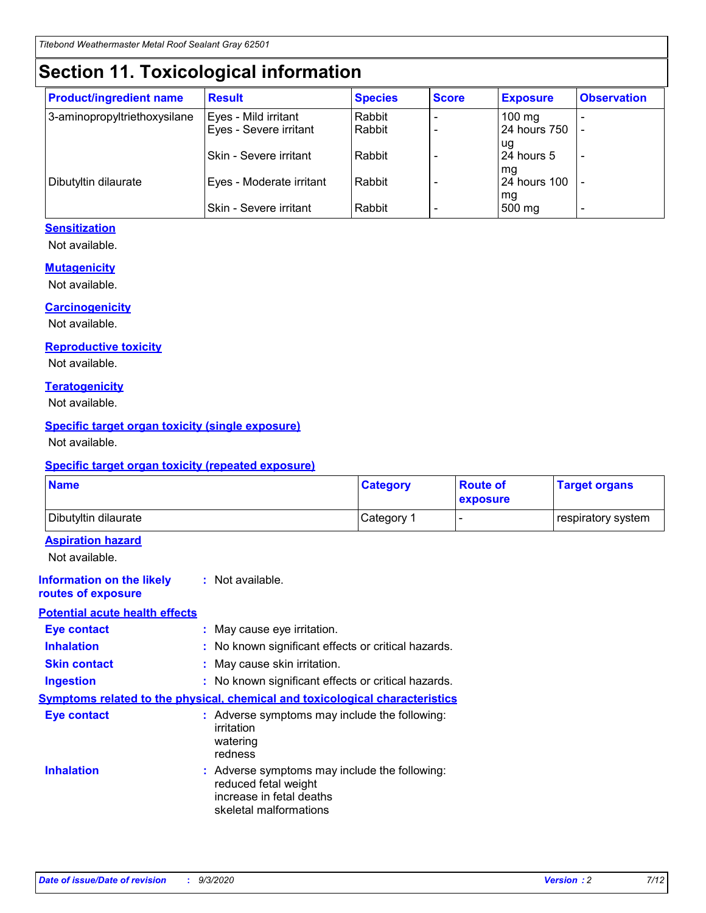# **Section 11. Toxicological information**

| <b>Product/ingredient name</b> | <b>Result</b>                 | <b>Species</b> | <b>Score</b> | <b>Exposure</b>    | <b>Observation</b>       |
|--------------------------------|-------------------------------|----------------|--------------|--------------------|--------------------------|
| 3-aminopropyltriethoxysilane   | Eyes - Mild irritant          | Rabbit         |              | $100 \text{ mg}$   |                          |
|                                | Eyes - Severe irritant        | Rabbit         |              | 24 hours 750       |                          |
|                                |                               |                |              | ug                 |                          |
|                                | <b>Skin - Severe irritant</b> | Rabbit         |              | 24 hours 5         | $\overline{\phantom{0}}$ |
| Dibutyltin dilaurate           | Eyes - Moderate irritant      | Rabbit         |              | mg<br>24 hours 100 |                          |
|                                |                               |                |              | mg                 |                          |
|                                | Skin - Severe irritant        | Rabbit         |              | 500 mg             | -                        |

#### **Sensitization**

Not available.

#### **Mutagenicity**

Not available.

#### **Carcinogenicity**

Not available.

#### **Reproductive toxicity**

Not available.

#### **Teratogenicity**

Not available.

#### **Specific target organ toxicity (single exposure)**

Not available.

#### **Specific target organ toxicity (repeated exposure)**

| <b>Name</b>                                                                         |                                                                            | <b>Category</b>                                     | <b>Route of</b><br>exposure | <b>Target organs</b> |  |  |
|-------------------------------------------------------------------------------------|----------------------------------------------------------------------------|-----------------------------------------------------|-----------------------------|----------------------|--|--|
| Dibutyltin dilaurate                                                                |                                                                            | Category 1                                          |                             | respiratory system   |  |  |
| <b>Aspiration hazard</b><br>Not available.                                          |                                                                            |                                                     |                             |                      |  |  |
| <b>Information on the likely</b><br>routes of exposure                              | : Not available.                                                           |                                                     |                             |                      |  |  |
| <b>Potential acute health effects</b>                                               |                                                                            |                                                     |                             |                      |  |  |
| <b>Eye contact</b>                                                                  | : May cause eye irritation.                                                |                                                     |                             |                      |  |  |
| <b>Inhalation</b>                                                                   |                                                                            | : No known significant effects or critical hazards. |                             |                      |  |  |
| <b>Skin contact</b>                                                                 |                                                                            | : May cause skin irritation.                        |                             |                      |  |  |
| <b>Ingestion</b>                                                                    |                                                                            | : No known significant effects or critical hazards. |                             |                      |  |  |
| <b>Symptoms related to the physical, chemical and toxicological characteristics</b> |                                                                            |                                                     |                             |                      |  |  |
| <b>Eye contact</b>                                                                  | irritation<br>watering<br>redness                                          | : Adverse symptoms may include the following:       |                             |                      |  |  |
| <b>Inhalation</b>                                                                   | reduced fetal weight<br>increase in fetal deaths<br>skeletal malformations | : Adverse symptoms may include the following:       |                             |                      |  |  |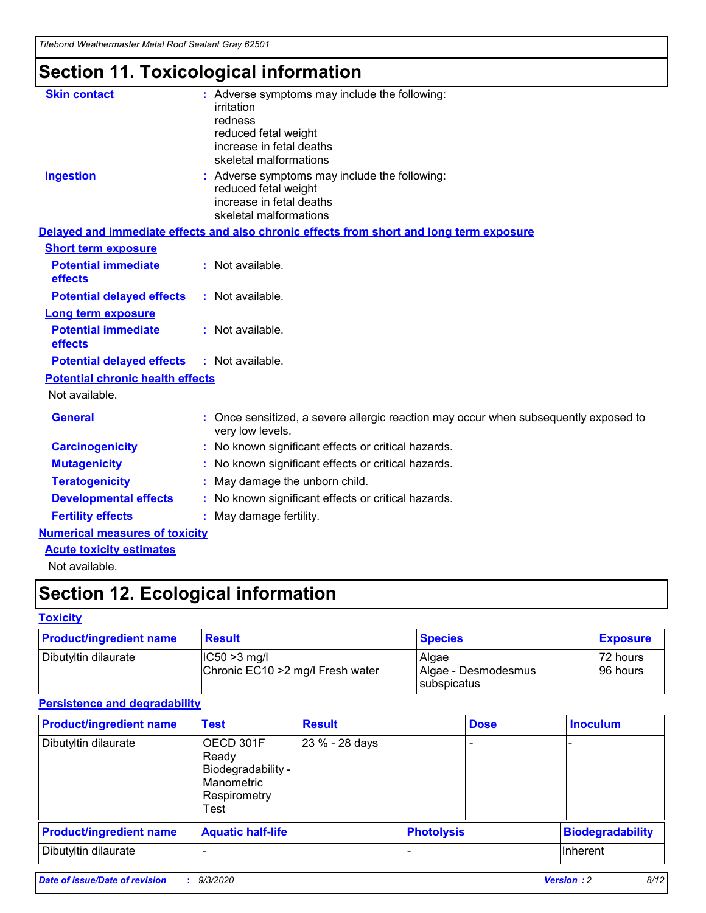*Titebond Weathermaster Metal Roof Sealant Gray 62501*

# **Section 11. Toxicological information**

| <b>Skin contact</b>                     | : Adverse symptoms may include the following:<br>irritation                                                                 |  |
|-----------------------------------------|-----------------------------------------------------------------------------------------------------------------------------|--|
|                                         | redness                                                                                                                     |  |
|                                         | reduced fetal weight<br>increase in fetal deaths                                                                            |  |
|                                         | skeletal malformations                                                                                                      |  |
| <b>Ingestion</b>                        | : Adverse symptoms may include the following:<br>reduced fetal weight<br>increase in fetal deaths<br>skeletal malformations |  |
|                                         | Delayed and immediate effects and also chronic effects from short and long term exposure                                    |  |
| <b>Short term exposure</b>              |                                                                                                                             |  |
| <b>Potential immediate</b><br>effects   | : Not available.                                                                                                            |  |
| <b>Potential delayed effects</b>        | : Not available.                                                                                                            |  |
| <b>Long term exposure</b>               |                                                                                                                             |  |
| <b>Potential immediate</b><br>effects   | : Not available.                                                                                                            |  |
| <b>Potential delayed effects</b>        | : Not available.                                                                                                            |  |
| <b>Potential chronic health effects</b> |                                                                                                                             |  |
| Not available.                          |                                                                                                                             |  |
| <b>General</b>                          | Once sensitized, a severe allergic reaction may occur when subsequently exposed to<br>very low levels.                      |  |
| <b>Carcinogenicity</b>                  | : No known significant effects or critical hazards.                                                                         |  |
| <b>Mutagenicity</b>                     | : No known significant effects or critical hazards.                                                                         |  |
| <b>Teratogenicity</b>                   | May damage the unborn child.                                                                                                |  |
| <b>Developmental effects</b>            | : No known significant effects or critical hazards.                                                                         |  |
| <b>Fertility effects</b>                | May damage fertility.                                                                                                       |  |
| <b>Numerical measures of toxicity</b>   |                                                                                                                             |  |
| <b>Acute toxicity estimates</b>         |                                                                                                                             |  |
| الملحلة والمستحقق فالمرابط              |                                                                                                                             |  |

Not available.

# **Section 12. Ecological information**

#### **Toxicity**

| <b>Product/ingredient name</b> | <b>Result</b>                                       | <b>Species</b>               | <b>Exposure</b>       |
|--------------------------------|-----------------------------------------------------|------------------------------|-----------------------|
| Dibutyltin dilaurate           | $ CC50>3$ mg/l<br>Chronic EC10 > 2 mg/l Fresh water | Algae<br>Algae - Desmodesmus | 72 hours<br>196 hours |
|                                |                                                     | <b>I</b> subspicatus         |                       |

#### **Persistence and degradability**

| <b>Product/ingredient name</b> | <b>Test</b>                                                                    | <b>Result</b>  |                   | <b>Dose</b> | <b>Inoculum</b>         |
|--------------------------------|--------------------------------------------------------------------------------|----------------|-------------------|-------------|-------------------------|
| Dibutyltin dilaurate           | OECD 301F<br>Ready<br>Biodegradability -<br>Manometric<br>Respirometry<br>Test | 23 % - 28 days |                   |             |                         |
| <b>Product/ingredient name</b> | <b>Aquatic half-life</b>                                                       |                | <b>Photolysis</b> |             | <b>Biodegradability</b> |
| Dibutyltin dilaurate           |                                                                                |                |                   |             | <b>Inherent</b>         |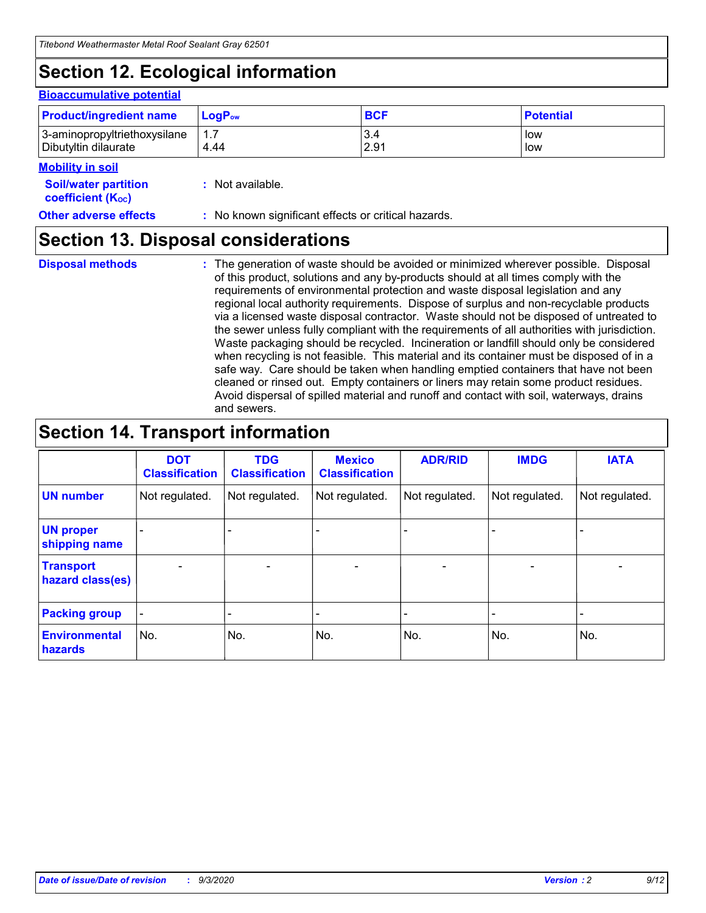# **Section 12. Ecological information**

#### **Bioaccumulative potential**

| <b>Product/ingredient name</b> | $\mathsf{LogP}_\mathsf{ow}$ | <b>BCF</b> | <b>Potential</b> |
|--------------------------------|-----------------------------|------------|------------------|
| 3-aminopropyltriethoxysilane   | $1.\overline{7}$            | 3.4        | low              |
| Dibutyltin dilaurate           | 4.44                        | 2.91       | low              |

#### **Mobility in soil**

| <b>Soil/water partition</b><br>coefficient (K <sub>oc</sub> ) | : Not available.                                    |
|---------------------------------------------------------------|-----------------------------------------------------|
| <b>Other adverse effects</b>                                  | : No known significant effects or critical hazards. |

### **Section 13. Disposal considerations**

**Disposal methods :**

The generation of waste should be avoided or minimized wherever possible. Disposal of this product, solutions and any by-products should at all times comply with the requirements of environmental protection and waste disposal legislation and any regional local authority requirements. Dispose of surplus and non-recyclable products via a licensed waste disposal contractor. Waste should not be disposed of untreated to the sewer unless fully compliant with the requirements of all authorities with jurisdiction. Waste packaging should be recycled. Incineration or landfill should only be considered when recycling is not feasible. This material and its container must be disposed of in a safe way. Care should be taken when handling emptied containers that have not been cleaned or rinsed out. Empty containers or liners may retain some product residues. Avoid dispersal of spilled material and runoff and contact with soil, waterways, drains and sewers.

### **Section 14. Transport information**

|                                      | <b>DOT</b><br><b>Classification</b> | <b>TDG</b><br><b>Classification</b> | <b>Mexico</b><br><b>Classification</b> | <b>ADR/RID</b> | <b>IMDG</b>              | <b>IATA</b>    |
|--------------------------------------|-------------------------------------|-------------------------------------|----------------------------------------|----------------|--------------------------|----------------|
| <b>UN number</b>                     | Not regulated.                      | Not regulated.                      | Not regulated.                         | Not regulated. | Not regulated.           | Not regulated. |
| <b>UN proper</b><br>shipping name    |                                     |                                     |                                        |                |                          |                |
| <b>Transport</b><br>hazard class(es) |                                     | $\overline{\phantom{0}}$            | $\overline{\phantom{0}}$               |                | $\overline{\phantom{0}}$ |                |
| <b>Packing group</b>                 |                                     |                                     |                                        |                |                          |                |
| <b>Environmental</b><br>hazards      | No.                                 | No.                                 | No.                                    | No.            | No.                      | No.            |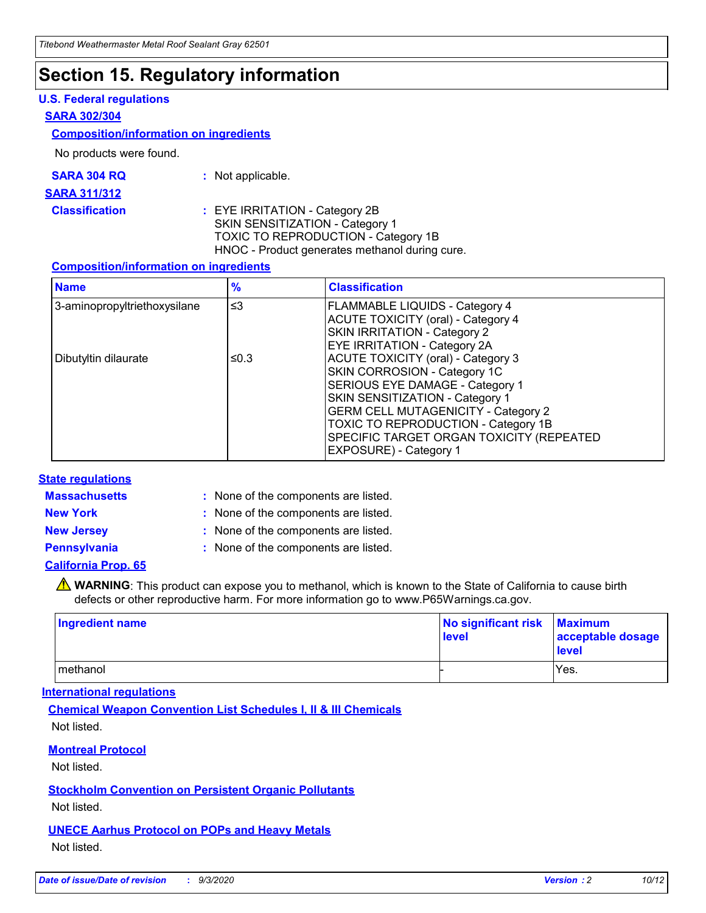### **Section 15. Regulatory information**

#### **U.S. Federal regulations**

#### **SARA 302/304**

#### **Composition/information on ingredients**

No products were found.

| SARA 304 RQ | Not applicable. |
|-------------|-----------------|
|-------------|-----------------|

#### **SARA 311/312**

**Classification :** EYE IRRITATION - Category 2B SKIN SENSITIZATION - Category 1 TOXIC TO REPRODUCTION - Category 1B HNOC - Product generates methanol during cure.

#### **Composition/information on ingredients**

| <b>Name</b>                  | $\frac{9}{6}$ | <b>Classification</b>                                                                                                                                                                                                                                                                                      |
|------------------------------|---------------|------------------------------------------------------------------------------------------------------------------------------------------------------------------------------------------------------------------------------------------------------------------------------------------------------------|
| 3-aminopropyltriethoxysilane | $\leq$ 3      | <b>FLAMMABLE LIQUIDS - Category 4</b><br><b>ACUTE TOXICITY (oral) - Category 4</b><br><b>SKIN IRRITATION - Category 2</b><br>EYE IRRITATION - Category 2A                                                                                                                                                  |
| Dibutyltin dilaurate         | ≤0.3          | <b>ACUTE TOXICITY (oral) - Category 3</b><br>SKIN CORROSION - Category 1C<br>SERIOUS EYE DAMAGE - Category 1<br>SKIN SENSITIZATION - Category 1<br><b>GERM CELL MUTAGENICITY - Category 2</b><br>TOXIC TO REPRODUCTION - Category 1B<br>SPECIFIC TARGET ORGAN TOXICITY (REPEATED<br>EXPOSURE) - Category 1 |

#### **State regulations**

**Massachusetts :**

: None of the components are listed.

**New York :** None of the components are listed. **New Jersey :** None of the components are listed.

**Pennsylvania :** None of the components are listed.

#### **California Prop. 65**

WARNING: This product can expose you to methanol, which is known to the State of California to cause birth defects or other reproductive harm. For more information go to www.P65Warnings.ca.gov.

| Ingredient name | No significant risk Maximum<br>level | acceptable dosage<br><b>level</b> |
|-----------------|--------------------------------------|-----------------------------------|
| I methanol      |                                      | Yes.                              |

#### **International regulations**

**Chemical Weapon Convention List Schedules I, II & III Chemicals** Not listed.

#### **Montreal Protocol**

Not listed.

**Stockholm Convention on Persistent Organic Pollutants**

Not listed.

#### **UNECE Aarhus Protocol on POPs and Heavy Metals** Not listed.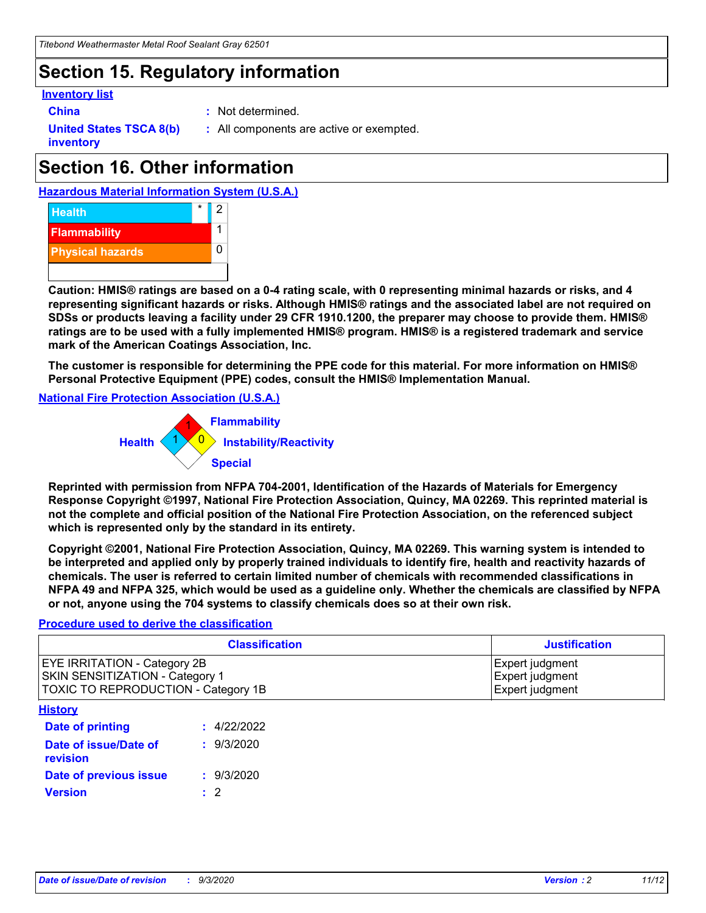## **Section 15. Regulatory information**

#### **Inventory list**

- 
- **China :** Not determined.

**United States TSCA 8(b) inventory**

**:** All components are active or exempted.

# **Section 16. Other information**





**Caution: HMIS® ratings are based on a 0-4 rating scale, with 0 representing minimal hazards or risks, and 4 representing significant hazards or risks. Although HMIS® ratings and the associated label are not required on SDSs or products leaving a facility under 29 CFR 1910.1200, the preparer may choose to provide them. HMIS® ratings are to be used with a fully implemented HMIS® program. HMIS® is a registered trademark and service mark of the American Coatings Association, Inc.**

**The customer is responsible for determining the PPE code for this material. For more information on HMIS® Personal Protective Equipment (PPE) codes, consult the HMIS® Implementation Manual.**

**National Fire Protection Association (U.S.A.)**



**Reprinted with permission from NFPA 704-2001, Identification of the Hazards of Materials for Emergency Response Copyright ©1997, National Fire Protection Association, Quincy, MA 02269. This reprinted material is not the complete and official position of the National Fire Protection Association, on the referenced subject which is represented only by the standard in its entirety.**

**Copyright ©2001, National Fire Protection Association, Quincy, MA 02269. This warning system is intended to be interpreted and applied only by properly trained individuals to identify fire, health and reactivity hazards of chemicals. The user is referred to certain limited number of chemicals with recommended classifications in NFPA 49 and NFPA 325, which would be used as a guideline only. Whether the chemicals are classified by NFPA or not, anyone using the 704 systems to classify chemicals does so at their own risk.**

#### **Procedure used to derive the classification**

| <b>Classification</b>                                                                                         | <b>Justification</b>                                  |
|---------------------------------------------------------------------------------------------------------------|-------------------------------------------------------|
| <b>EYE IRRITATION - Category 2B</b><br>SKIN SENSITIZATION - Category 1<br>TOXIC TO REPRODUCTION - Category 1B | Expert judgment<br>Expert judgment<br>Expert judgment |
| <b>History</b>                                                                                                |                                                       |

| .                                 |             |
|-----------------------------------|-------------|
| <b>Date of printing</b>           | : 4/22/2022 |
| Date of issue/Date of<br>revision | : 9/3/2020  |
| Date of previous issue            | : 9/3/2020  |
| <b>Version</b>                    | $\cdot$ 2   |
|                                   |             |